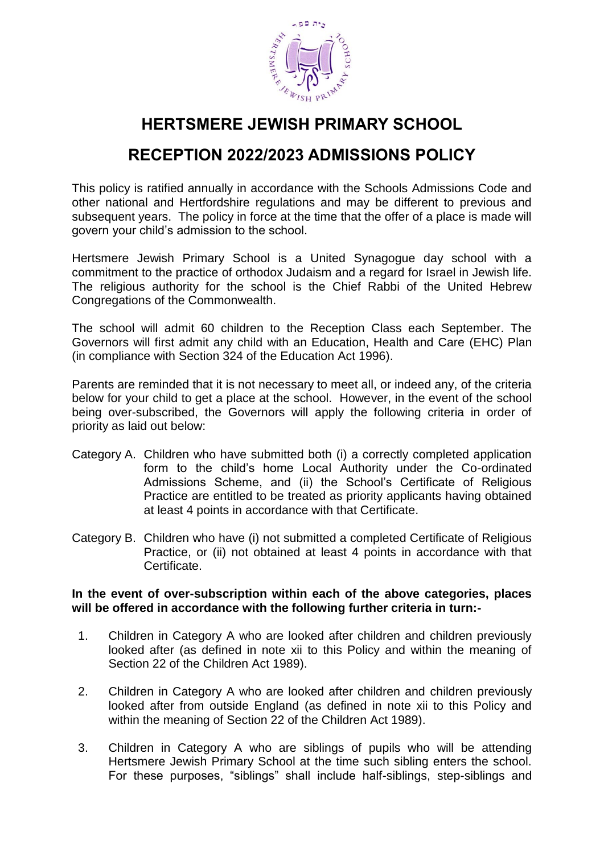

# **HERTSMERE JEWISH PRIMARY SCHOOL**

# **RECEPTION 2022/2023 ADMISSIONS POLICY**

This policy is ratified annually in accordance with the Schools Admissions Code and other national and Hertfordshire regulations and may be different to previous and subsequent years. The policy in force at the time that the offer of a place is made will govern your child's admission to the school.

Hertsmere Jewish Primary School is a United Synagogue day school with a commitment to the practice of orthodox Judaism and a regard for Israel in Jewish life. The religious authority for the school is the Chief Rabbi of the United Hebrew Congregations of the Commonwealth.

The school will admit 60 children to the Reception Class each September. The Governors will first admit any child with an Education, Health and Care (EHC) Plan (in compliance with Section 324 of the Education Act 1996).

Parents are reminded that it is not necessary to meet all, or indeed any, of the criteria below for your child to get a place at the school. However, in the event of the school being over-subscribed, the Governors will apply the following criteria in order of priority as laid out below:

- Category A. Children who have submitted both (i) a correctly completed application form to the child's home Local Authority under the Co-ordinated Admissions Scheme, and (ii) the School's Certificate of Religious Practice are entitled to be treated as priority applicants having obtained at least 4 points in accordance with that Certificate.
- Category B. Children who have (i) not submitted a completed Certificate of Religious Practice, or (ii) not obtained at least 4 points in accordance with that Certificate.

### **In the event of over-subscription within each of the above categories, places will be offered in accordance with the following further criteria in turn:-**

- 1. Children in Category A who are looked after children and children previously looked after (as defined in note xii to this Policy and within the meaning of Section 22 of the Children Act 1989).
- 2. Children in Category A who are looked after children and children previously looked after from outside England (as defined in note xii to this Policy and within the meaning of Section 22 of the Children Act 1989).
- 3. Children in Category A who are siblings of pupils who will be attending Hertsmere Jewish Primary School at the time such sibling enters the school. For these purposes, "siblings" shall include half-siblings, step-siblings and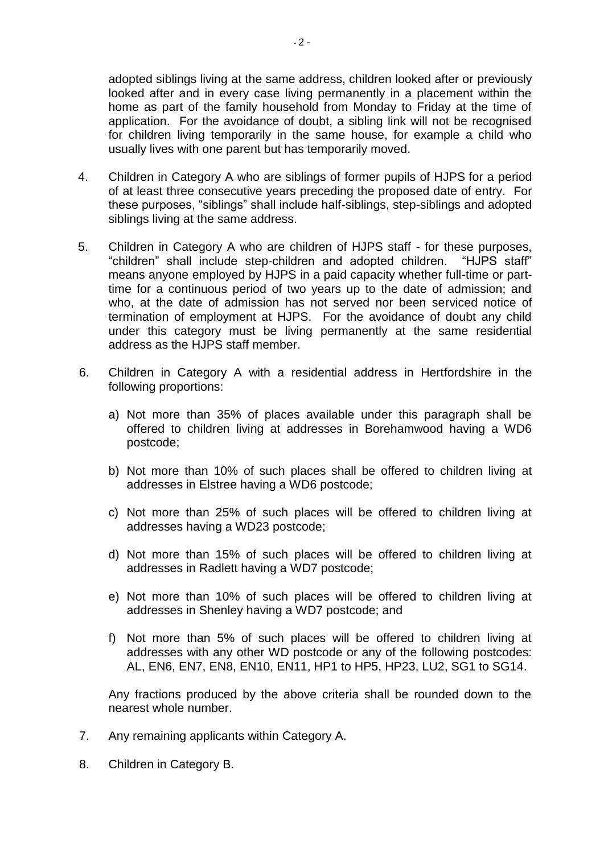adopted siblings living at the same address, children looked after or previously looked after and in every case living permanently in a placement within the home as part of the family household from Monday to Friday at the time of application. For the avoidance of doubt, a sibling link will not be recognised for children living temporarily in the same house, for example a child who usually lives with one parent but has temporarily moved.

- 4. Children in Category A who are siblings of former pupils of HJPS for a period of at least three consecutive years preceding the proposed date of entry. For these purposes, "siblings" shall include half-siblings, step-siblings and adopted siblings living at the same address.
- 5. Children in Category A who are children of HJPS staff for these purposes, "children" shall include step-children and adopted children. "HJPS staff" means anyone employed by HJPS in a paid capacity whether full-time or parttime for a continuous period of two years up to the date of admission; and who, at the date of admission has not served nor been serviced notice of termination of employment at HJPS. For the avoidance of doubt any child under this category must be living permanently at the same residential address as the HJPS staff member.
- 6. Children in Category A with a residential address in Hertfordshire in the following proportions:
	- a) Not more than 35% of places available under this paragraph shall be offered to children living at addresses in Borehamwood having a WD6 postcode;
	- b) Not more than 10% of such places shall be offered to children living at addresses in Elstree having a WD6 postcode;
	- c) Not more than 25% of such places will be offered to children living at addresses having a WD23 postcode;
	- d) Not more than 15% of such places will be offered to children living at addresses in Radlett having a WD7 postcode;
	- e) Not more than 10% of such places will be offered to children living at addresses in Shenley having a WD7 postcode; and
	- f) Not more than 5% of such places will be offered to children living at addresses with any other WD postcode or any of the following postcodes: AL, EN6, EN7, EN8, EN10, EN11, HP1 to HP5, HP23, LU2, SG1 to SG14.

Any fractions produced by the above criteria shall be rounded down to the nearest whole number.

- 7. Any remaining applicants within Category A.
- 8. Children in Category B.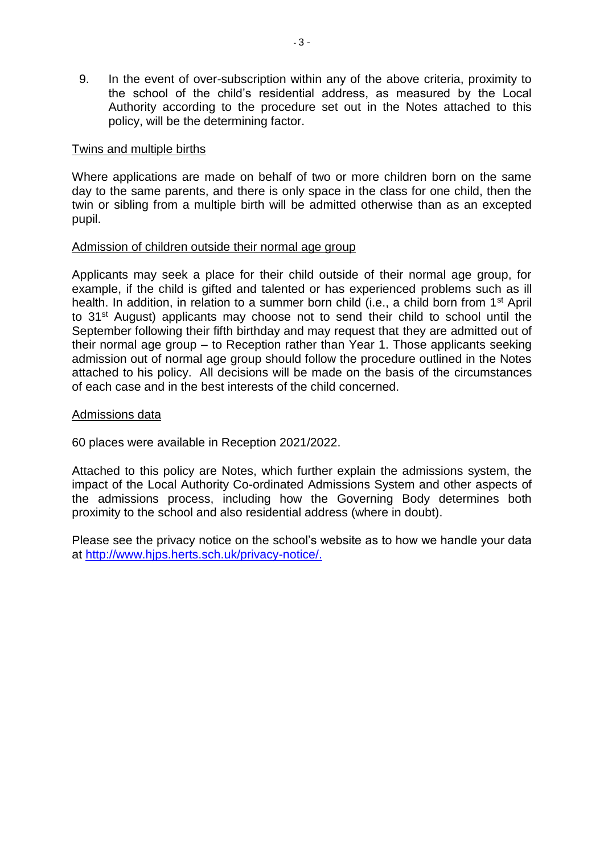9. In the event of over-subscription within any of the above criteria, proximity to the school of the child's residential address, as measured by the Local Authority according to the procedure set out in the Notes attached to this policy, will be the determining factor.

### Twins and multiple births

Where applications are made on behalf of two or more children born on the same day to the same parents, and there is only space in the class for one child, then the twin or sibling from a multiple birth will be admitted otherwise than as an excepted pupil.

#### Admission of children outside their normal age group

Applicants may seek a place for their child outside of their normal age group, for example, if the child is gifted and talented or has experienced problems such as ill health. In addition, in relation to a summer born child (i.e., a child born from 1<sup>st</sup> April to 31st August) applicants may choose not to send their child to school until the September following their fifth birthday and may request that they are admitted out of their normal age group – to Reception rather than Year 1. Those applicants seeking admission out of normal age group should follow the procedure outlined in the Notes attached to his policy. All decisions will be made on the basis of the circumstances of each case and in the best interests of the child concerned.

### Admissions data

60 places were available in Reception 2021/2022.

Attached to this policy are Notes, which further explain the admissions system, the impact of the Local Authority Co-ordinated Admissions System and other aspects of the admissions process, including how the Governing Body determines both proximity to the school and also residential address (where in doubt).

Please see the privacy notice on the school's website as to how we handle your data at [http://www.hjps.herts.sch.uk/privacy-notice/.](http://www.hjps.herts.sch.uk/privacy-notice/)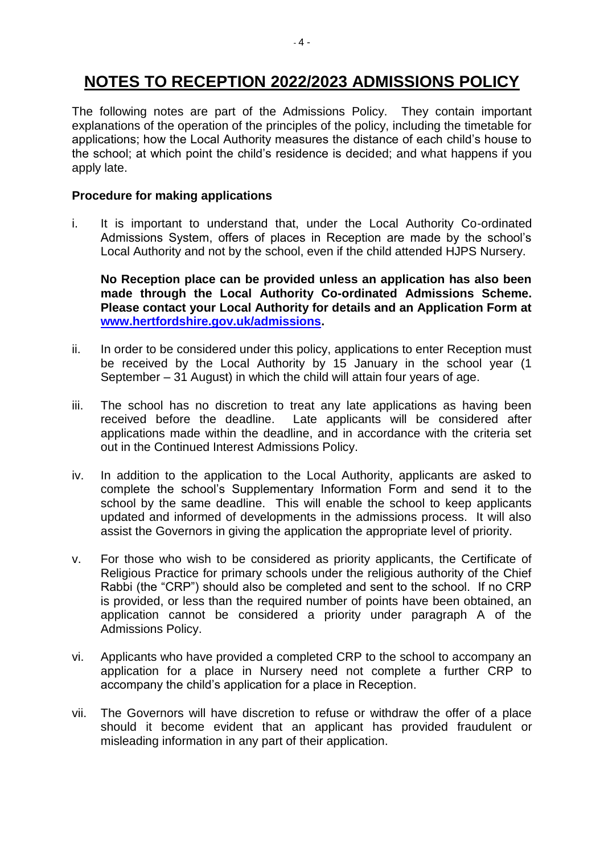# **NOTES TO RECEPTION 2022/2023 ADMISSIONS POLICY**

The following notes are part of the Admissions Policy. They contain important explanations of the operation of the principles of the policy, including the timetable for applications; how the Local Authority measures the distance of each child's house to the school; at which point the child's residence is decided; and what happens if you apply late.

# **Procedure for making applications**

i. It is important to understand that, under the Local Authority Co-ordinated Admissions System, offers of places in Reception are made by the school's Local Authority and not by the school, even if the child attended HJPS Nursery.

**No Reception place can be provided unless an application has also been made through the Local Authority Co-ordinated Admissions Scheme. Please contact your Local Authority for details and an Application Form at [www.hertfordshire.gov.uk/admissions.](file:///C:/Users/nadine.taylor/AppData/Local/Packages/Microsoft.MicrosoftEdge_8wekyb3d8bbwe/TempState/Downloads/www.hertfordshire.gov.uk/admissions)**

- ii. In order to be considered under this policy, applications to enter Reception must be received by the Local Authority by 15 January in the school year (1 September – 31 August) in which the child will attain four years of age.
- iii. The school has no discretion to treat any late applications as having been received before the deadline. Late applicants will be considered after applications made within the deadline, and in accordance with the criteria set out in the Continued Interest Admissions Policy.
- iv. In addition to the application to the Local Authority, applicants are asked to complete the school's Supplementary Information Form and send it to the school by the same deadline. This will enable the school to keep applicants updated and informed of developments in the admissions process. It will also assist the Governors in giving the application the appropriate level of priority.
- v. For those who wish to be considered as priority applicants, the Certificate of Religious Practice for primary schools under the religious authority of the Chief Rabbi (the "CRP") should also be completed and sent to the school. If no CRP is provided, or less than the required number of points have been obtained, an application cannot be considered a priority under paragraph A of the Admissions Policy.
- vi. Applicants who have provided a completed CRP to the school to accompany an application for a place in Nursery need not complete a further CRP to accompany the child's application for a place in Reception.
- vii. The Governors will have discretion to refuse or withdraw the offer of a place should it become evident that an applicant has provided fraudulent or misleading information in any part of their application.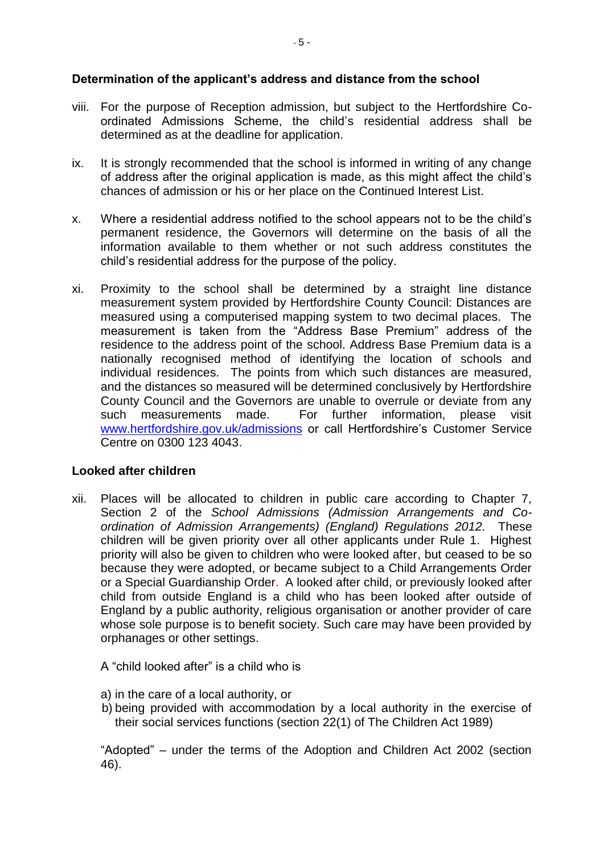## **Determination of the applicant's address and distance from the school**

- viii. For the purpose of Reception admission, but subject to the Hertfordshire Coordinated Admissions Scheme, the child's residential address shall be determined as at the deadline for application.
- ix. It is strongly recommended that the school is informed in writing of any change of address after the original application is made, as this might affect the child's chances of admission or his or her place on the Continued Interest List.
- x. Where a residential address notified to the school appears not to be the child's permanent residence, the Governors will determine on the basis of all the information available to them whether or not such address constitutes the child's residential address for the purpose of the policy.
- xi. Proximity to the school shall be determined by a straight line distance measurement system provided by Hertfordshire County Council: Distances are measured using a computerised mapping system to two decimal places. The measurement is taken from the "Address Base Premium" address of the residence to the address point of the school. Address Base Premium data is a nationally recognised method of identifying the location of schools and individual residences. The points from which such distances are measured, and the distances so measured will be determined conclusively by Hertfordshire County Council and the Governors are unable to overrule or deviate from any such measurements made. For further information, please visit [www.hertfordshire.gov.uk/admissions](http://www.hertsdirect.org/scholearn/admissions/) or call Hertfordshire's Customer Service Centre on 0300 123 4043.

## **Looked after children**

xii. Places will be allocated to children in public care according to Chapter 7, Section 2 of the *School Admissions (Admission Arrangements and Coordination of Admission Arrangements) (England) Regulations 2012.* These children will be given priority over all other applicants under Rule 1. Highest priority will also be given to children who were looked after, but ceased to be so because they were adopted, or became subject to a Child Arrangements Order or a Special Guardianship Order. A looked after child, or previously looked after child from outside England is a child who has been looked after outside of England by a public authority, religious organisation or another provider of care whose sole purpose is to benefit society. Such care may have been provided by orphanages or other settings.

A "child looked after" is a child who is

- a) in the care of a local authority, or
- b) being provided with accommodation by a local authority in the exercise of their social services functions (section 22(1) of The Children Act 1989)

"Adopted" – under the terms of the Adoption and Children Act 2002 (section 46).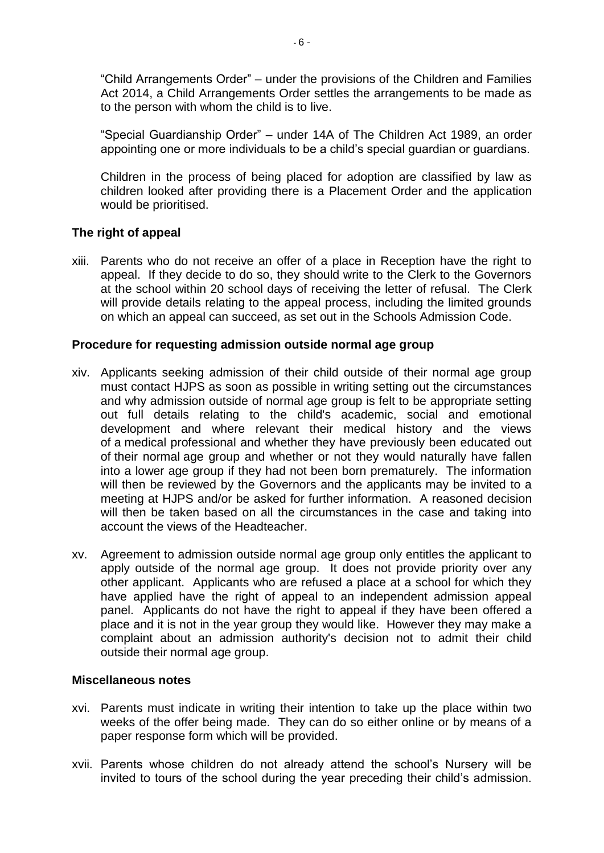"Child Arrangements Order" – under the provisions of the Children and Families Act 2014, a Child Arrangements Order settles the arrangements to be made as to the person with whom the child is to live.

"Special Guardianship Order" – under 14A of The Children Act 1989, an order appointing one or more individuals to be a child's special guardian or guardians.

Children in the process of being placed for adoption are classified by law as children looked after providing there is a Placement Order and the application would be prioritised.

## **The right of appeal**

xiii. Parents who do not receive an offer of a place in Reception have the right to appeal. If they decide to do so, they should write to the Clerk to the Governors at the school within 20 school days of receiving the letter of refusal. The Clerk will provide details relating to the appeal process, including the limited grounds on which an appeal can succeed, as set out in the Schools Admission Code.

### **Procedure for requesting admission outside normal age group**

- xiv. Applicants seeking admission of their child outside of their normal age group must contact HJPS as soon as possible in writing setting out the circumstances and why admission outside of normal age group is felt to be appropriate setting out full details relating to the child's academic, social and emotional development and where relevant their medical history and the views of a medical professional and whether they have previously been educated out of their normal age group and whether or not they would naturally have fallen into a lower age group if they had not been born prematurely. The information will then be reviewed by the Governors and the applicants may be invited to a meeting at HJPS and/or be asked for further information. A reasoned decision will then be taken based on all the circumstances in the case and taking into account the views of the Headteacher.
- xv. Agreement to admission outside normal age group only entitles the applicant to apply outside of the normal age group. It does not provide priority over any other applicant. Applicants who are refused a place at a school for which they have applied have the right of appeal to an independent admission appeal panel. Applicants do not have the right to appeal if they have been offered a place and it is not in the year group they would like. However they may make a complaint about an admission authority's decision not to admit their child outside their normal age group.

#### **Miscellaneous notes**

- xvi. Parents must indicate in writing their intention to take up the place within two weeks of the offer being made. They can do so either online or by means of a paper response form which will be provided.
- xvii. Parents whose children do not already attend the school's Nursery will be invited to tours of the school during the year preceding their child's admission.